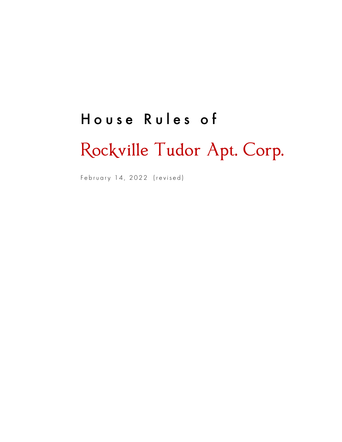# House Rules of

# Rockville Tudor Apt. Corp.

February 14, 2022 (revised)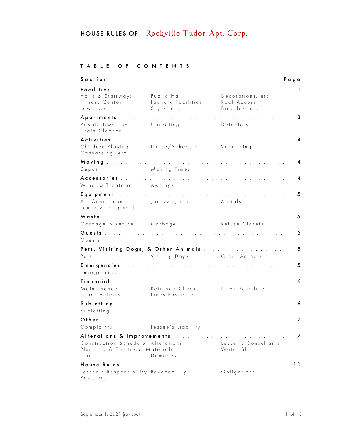#### TABLE OF CONTENTS

| Section                                                                                                                       |                                                  |                                                                                                                                                                                                                                        | Page |
|-------------------------------------------------------------------------------------------------------------------------------|--------------------------------------------------|----------------------------------------------------------------------------------------------------------------------------------------------------------------------------------------------------------------------------------------|------|
| Facilities<br>Halls & Stairways<br>Fitness Center<br>Lawn Use                                                                 | Public Hall<br>Laundry Facilities<br>Signs, etc. | Decorations, etc.<br>Roof Access<br>Bicycles, etc.                                                                                                                                                                                     | 1    |
| Apartments<br>Private Dwellings<br>Drain Cleaner                                                                              | Carpeting                                        | Detectors                                                                                                                                                                                                                              | 3    |
| Activities.<br>Children Playing<br>Canvassing, etc.                                                                           | Noise/Schedule                                   | Vacuuming                                                                                                                                                                                                                              | 4    |
| Moving the research research research research<br>Deposit                                                                     | Moving Times                                     |                                                                                                                                                                                                                                        | 4    |
| Accessories<br>Window Treatment Awnings                                                                                       |                                                  | <u>.</u><br>In the second component of the second component of the second component of the second component of the second component of the second component of the second component of the second component of the second component of | 4    |
| Air Conditioners<br>Laundry Equipment                                                                                         | Jacuzzis, etc.                                   | Aerials                                                                                                                                                                                                                                | 5    |
| Waste<br>Garbage & Refuse                                                                                                     | and the company of the company of the<br>Garbage | Refuse Closets                                                                                                                                                                                                                         | 5    |
| Guests                                                                                                                        |                                                  |                                                                                                                                                                                                                                        | 5    |
| Guests<br>Pets, Visiting Dogs, & Other Animals                                                                                |                                                  |                                                                                                                                                                                                                                        |      |
| Pets                                                                                                                          | Visiting Dogs                                    | Other Animals                                                                                                                                                                                                                          | 5    |
| Emergencies<br>Emergencies                                                                                                    |                                                  |                                                                                                                                                                                                                                        | 5    |
| Financial<br>Maintenance<br>Other Actions                                                                                     | Returned Checks<br>Fines Payments                | Fines Schedule                                                                                                                                                                                                                         | 6    |
| Subletting<br>Subletting                                                                                                      | and a state of the state                         |                                                                                                                                                                                                                                        | 6    |
| Other the contract of the contract of the contract of the contract of the contract of the contract of the contr<br>Complaints | Lessee's Liability                               |                                                                                                                                                                                                                                        | 7    |
| Alterations & Improvements<br>Construction Schedule Alterations<br>Plumbing & Electrical Materials<br>Fines                   | Damages                                          | Lesser's Consultants<br>Water Shut-off                                                                                                                                                                                                 | 7    |
| House Rules<br>Lessee's Responsibility Revocability<br>Revisions                                                              |                                                  | Obligations                                                                                                                                                                                                                            | 11   |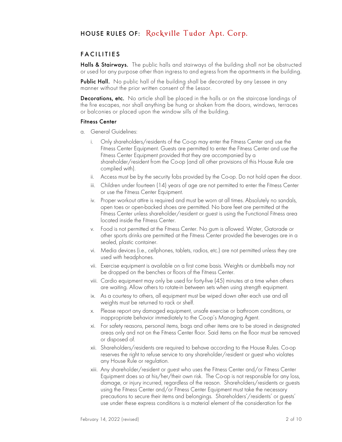#### FACILITIES

Halls & Stairways.The public halls and stairways of the building shall not be obstructed or used for any purpose other than ingress to and egress from the apartments in the building.

Public Hall. No public hall of the building shall be decorated by any lessee in any manner without the prior written consent of the Lessor.

Decorations, etc. No article shall be placed in the halls or on the staircase landings of the fire escapes, nor shall anything be hung or shaken from the doors, windows, terraces or balconies or placed upon the window sills of the building.

#### Fitness Center

- a. General Guidelines:
	- i. Only shareholders/residents of the Co-op may enter the Fitness Center and use the Fitness Center Equipment. Guests are permitted to enter the Fitness Center and use the Fitness Center Equipment provided that they are accompanied by a shareholder/resident from the Co-op (and all other provisions of this House Rule are complied with).
	- ii. Access must be by the security fobs provided by the Co-op. Do not hold open the door.
	- iii. Children under fourteen (14) years of age are not permitted to enter the Fitness Center or use the Fitness Center Equipment.
	- iv. Proper workout attire is required and must be worn at all times. Absolutely no sandals, open toes or open-backed shoes are permitted. No bare feet are permitted at the Fitness Center unless shareholder/resident or guest is using the Functional Fitness area located inside the Fitness Center.
	- v. Food is not permitted at the Fitness Center. No gum is allowed. Water, Gatorade or other sports drinks are permitted at the Fitness Center provided the beverages are in a sealed, plastic container.
	- vi. Media devices (i.e., cellphones, tablets, radios, etc.) are not permitted unless they are used with headphones.
	- vii. Exercise equipment is available on a first come basis. Weights or dumbbells may not be dropped on the benches or floors of the Fitness Center.
	- viii. Cardio equipment may only be used for forty-five (45) minutes at a time when others are waiting. Allow others to rotate-in between sets when using strength equipment.
	- ix. As a courtesy to others, all equipment must be wiped down after each use and all weights must be returned to rack or shelf.
	- x. Please report any damaged equipment, unsafe exercise or bathroom conditions, or inappropriate behavior immediately to the Co-op's Managing Agent.
	- xi. For safety reasons, personal items, bags and other items are to be stored in designated areas only and not on the Fitness Center floor. Said items on the floor must be removed or disposed of.
	- xii. Shareholders/residents are required to behave according to the House Rules. Co-op reserves the right to refuse service to any shareholder/resident or guest who violates any House Rule or regulation.
	- xiii. Any shareholder/resident or guest who uses the Fitness Center and/or Fitness Center Equipment does so at his/her/their own risk. The Co-op is not responsible for any loss, damage, or injury incurred, regardless of the reason. Shareholders/residents or guests using the Fitness Center and/or Fitness Center Equipment must take the necessary precautions to secure their items and belongings. Shareholders'/residents' or guests' use under these express conditions is a material element of the consideration for the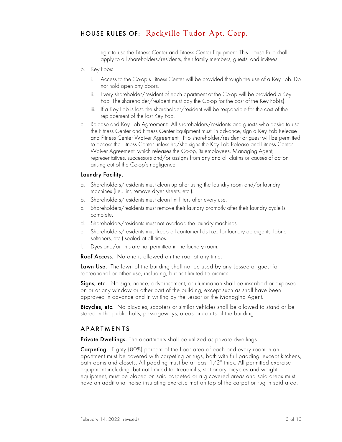right to use the Fitness Center and Fitness Center Equipment. This House Rule shall apply to all shareholders/residents, their family members, guests, and invitees.

- b. Key Fobs:
	- i. Access to the Co-op's Fitness Center will be provided through the use of a Key Fob. Do not hold open any doors.
	- ii. Every shareholder/resident of each apartment at the Co-op will be provided a Key Fob. The shareholder/resident must pay the Co-op for the cost of the Key Fob(s).
	- iii. If a Key Fob is lost, the shareholder/resident will be responsible for the cost of the replacement of the lost Key Fob.
- c. Release and Key Fob Agreement: All shareholders/residents and guests who desire to use the Fitness Center and Fitness Center Equipment must, in advance, sign a Key Fob Release and Fitness Center Waiver Agreement. No shareholder/resident or guest will be permitted to access the Fitness Center unless he/she signs the Key Fob Release and Fitness Center Waiver Agreement, which releases the Co-op, its employees, Managing Agent, representatives, successors and/or assigns from any and all claims or causes of action arising out of the Co-op's negligence.

#### Laundry Facility.

- a. Shareholders/residents must clean up after using the laundry room and/or laundry machines (i.e., lint, remove dryer sheets, etc.).
- b. Shareholders/residents must clean lint filters after every use.
- c. Shareholders/residents must remove their laundry promptly after their laundry cycle is complete.
- d. Shareholders/residents must not overload the laundry machines.
- e. Shareholders/residents must keep all container lids (i.e., for laundry detergents, fabric softeners, etc.) sealed at all times.
- f. Dyes and/or tints are not permitted in the laundry room.

Roof Access. No one is allowed on the roof at any time.

Lawn Use. The lawn of the building shall not be used by any Lessee or guest for recreational or other use, including, but not limited to picnics.

Signs, etc. No sign, notice, advertisement, or illumination shall be inscribed or exposed on or at any window or other part of the building, except such as shall have been approved in advance and in writing by the Lessor or the Managing Agent.

Bicycles, etc. No bicycles, scooters or similar vehicles shall be allowed to stand or be stored in the public halls, passageways, areas or courts of the building.

#### APARTMENTS

Private Dwellings. The apartments shall be utilized as private dwellings.

Carpeting. Eighty (80%) percent of the floor area of each and every room in an apartment must be covered with carpeting or rugs, both with full padding, except kitchens, bathrooms and closets. All padding must be at least 1/2" thick. All permitted exercise equipment including, but not limited to, treadmills, stationary bicycles and weight equipment, must be placed on said carpeted or rug covered areas and said areas must have an additional noise insulating exercise mat on top of the carpet or rug in said area.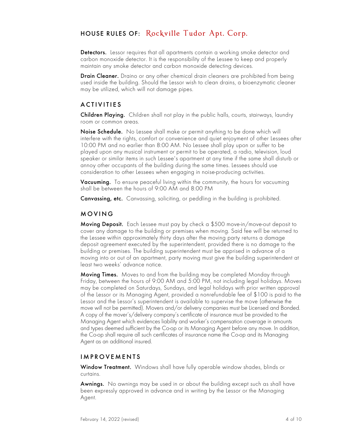Detectors. Lessor requires that all apartments contain a working smoke detector and carbon monoxide detector. It is the responsibility of the Lessee to keep and properly maintain any smoke detector and carbon monoxide detecting devices.

**Drain Cleaner.** Draino or any other chemical drain cleaners are prohibited from being used inside the building. Should the Lessor wish to clean drains, a bioenzymatic cleaner may be utilized, which will not damage pipes.

#### ACTIVITIES

**Children Playing.** Children shall not play in the public halls, courts, stairways, laundry room or common areas.

Noise Schedule. No Lessee shall make or permit anything to be done which will interfere with the rights, comfort or convenience and quiet enjoyment of other Lessees after 10:00 PM and no earlier than 8:00 AM. No Lessee shall play upon or suffer to be played upon any musical instrument or permit to be operated, a radio, television, loud speaker or similar items in such Lessee's apartment at any time if the same shall disturb or annoy other occupants of the building during the same times. Lessees should use consideration to other Lessees when engaging in noise-producing activities.

Vacuuming. To ensure peaceful living within the community, the hours for vacuuming shall be between the hours of 9:00 AM and 8:00 PM

Canvassing, etc. Canvassing, soliciting, or peddling in the building is prohibited.

#### MOVING

Moving Deposit. Each Lessee must pay by check a \$500 move-in/move-out deposit to cover any damage to the building or premises when moving. Said fee will be returned to the Lessee within approximately thirty days after the moving party returns a damage deposit agreement executed by the superintendent, provided there is no damage to the building or premises. The building superintendent must be apprised in advance of a moving into or out of an apartment, party moving must give the building superintendent at least two weeks' advance notice.

Moving Times. Moves to and from the building may be completed Monday through Friday, between the hours of 9:00 AM and 5:00 PM, not including legal holidays. Moves may be completed on Saturdays, Sundays, and legal holidays with prior written approval of the Lessor or its Managing Agent, provided a nonrefundable fee of \$100 is paid to the Lessor and the Lessor's superintendent is available to supervise the move (otherwise the move will not be permitted). Movers and/or delivery companies must be Licensed and Bonded. A copy of the mover's/delivery company's certificate of insurance must be provided to the Managing Agent which evidences liability and worker's compensation coverage in amounts and types deemed sufficient by the Co-op or its Managing Agent before any move. In addition, the Co-op shall require all such certificates of insurance name the Co-op and its Managing Agent as an additional insured.

#### IMPROVEMENTS

Window Treatment. Windows shall have fully operable window shades, blinds or curtains.

Awnings. No awnings may be used in or about the building except such as shall have been expressly approved in advance and in writing by the Lessor or the Managing Agent.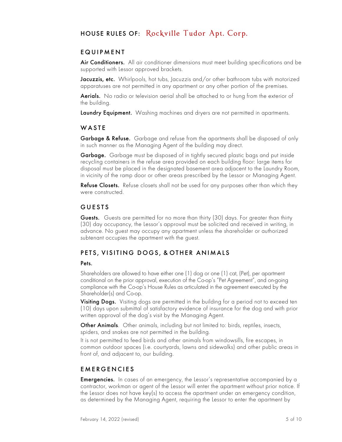#### EQUIPMENT

Air Conditioners. All air conditioner dimensions must meet building specifications and be supported with Lessor approved brackets.

Jacuzzis, etc. Whirlpools, hot tubs, Jacuzzis and/or other bathroom tubs with motorized apparatuses are not permitted in any apartment or any other portion of the premises.

Aerials. No radio or television aerial shall be attached to or hung from the exterior of the building.

Laundry Equipment. Washing machines and dryers are not permitted in apartments.

#### **WASTE**

Garbage & Refuse. Garbage and refuse from the apartments shall be disposed of only in such manner as the Managing Agent of the building may direct.

Garbage. Garbage must be disposed of in tightly secured plastic bags and put inside recycling containers in the refuse area provided on each building floor: large items for disposal must be placed in the designated basement area adjacent to the Laundry Room, in vicinity of the ramp door or other areas prescribed by the Lessor or Managing Agent.

Refuse Closets. Refuse closets shall not be used for any purposes other than which they were constructed.

#### **GUESTS**

Guests. Guests are permitted for no more than thirty (30) days. For greater than thirty (30) day occupancy, the Lessor's approval must be solicited and received in writing, in advance. No guest may occupy any apartment unless the shareholder or authorized subtenant occupies the apartment with the guest.

#### PETS, VISITING DOGS, & OTHER ANIMALS

#### Pets.

Shareholders are allowed to have either one (1) dog or one (1) cat, (Pet), per apartment conditional on the prior approval, execution of the Co-op's "Pet Agreement", and on-going compliance with the Co-op's House Rules as articulated in the agreement executed by the Shareholder(s) and Co-op.

Visiting Dogs. Visiting dogs are permitted in the building for a period not to exceed ten (10) days upon submittal of satisfactory evidence of insurance for the dog and with prior written approval of the dog's visit by the Managing Agent.

Other Animals. Other animals, including but not limited to: birds, reptiles, insects, spiders, and snakes are not permitted in the building.

It is not permitted to feed birds and other animals from windowsills, fire escapes, in common outdoor spaces (i.e. courtyards, lawns and sidewalks) and other public areas in front of, and adjacent to, our building.

#### EMERGENCIES

Emergencies. In cases of an emergency, the Lessor's representative accompanied by a contractor, workman or agent of the Lessor will enter the apartment without prior notice. If the Lessor does not have  $key(s)$  to access the apartment under an emergency condition, as determined by the Managing Agent, requiring the Lessor to enter the apartment by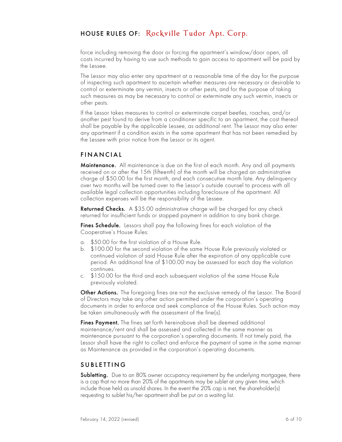force including removing the door or forcing the apartment's window/door open, all costs incurred by having to use such methods to gain access to apartment will be paid by the Lessee.

The Lessor may also enter any apartment at a reasonable time of the day for the purpose of inspecting such apartment to ascertain whether measures are necessary or desirable to control or exterminate any vermin, insects or other pests, and for the purpose of taking such measures as may be necessary to control or exterminate any such vermin, insects or other pests.

If the Lessor takes measures to control or exterminate carpet beetles, roaches, and/or another pest found to derive from a conditioner specific to an apartment, the cost thereof shall be payable by the applicable Lessee, as additional rent. The Lessor may also enter any apartment if a condition exists in the same apartment that has not been remedied by the Lessee with prior notice from the Lessor or its agent.

#### FINANCIAL

Maintenance. All maintenance is due on the first of each month. Any and all payments received on or after the 15th (fifteenth) of the month will be charged an administrative charge of \$50.00 for the first month, and each consecutive month late. Any delinquency over two months will be turned over to the Lessor's outside counsel to process with all available legal collection opportunities including foreclosure of the apartment. All collection expenses will be the responsibility of the Lessee.

Returned Checks. A \$35.00 administrative charge will be charged for any check returned for insufficient funds or stopped payment in addition to any bank charge.

Fines Schedule. Lessors shall pay the following fines for each violation of the Cooperative's House Rules:

- a. \$50.00 for the first violation of a House Rule.
- b. \$100.00 for the second violation of the same House Rule previously violated or continued violation of said House Rule after the expiration of any applicable cure period. An additional fine of \$100.00 may be assessed for each day the violation continues.
- c. \$150.00 for the third and each subsequent violation of the same House Rule previously violated.

Other Actions. The foregoing fines are not the exclusive remedy of the Lessor. The Board of Directors may take any other action permitted under the corporation's operating documents in order to enforce and seek compliance of the House Rules. Such action may be taken simultaneously with the assessment of the fine(s).

Fines Payment. The fines set forth hereinabove shall be deemed additional maintenance/rent and shall be assessed and collected in the same manner as maintenance pursuant to the corporation's operating documents. If not timely paid, the Lessor shall have the right to collect and enforce the payment of same in the same manner as Maintenance as provided in the corporation's operating documents.

#### SUBLETTING

**Subletting.** Due to an 80% owner occupancy requirement by the underlying mortgagee, there is a cap that no more than 20% of the apartments may be sublet at any given time, which include those held as unsold shares. In the event the 20% cap is met, the shareholder(s) requesting to sublet his/her apartment shall be put on a waiting list.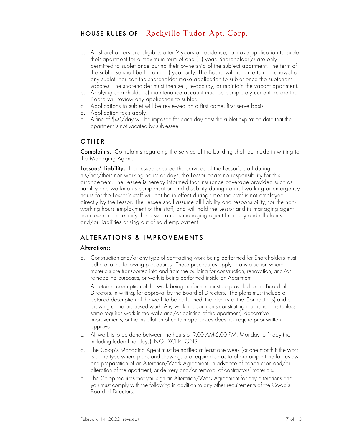- a. All shareholders are eligible, after 2 years of residence, to make application to sublet their apartment for a maximum term of one (1) year. Shareholder(s) are only permitted to sublet once during their ownership of the subject apartment. The term of the sublease shall be for one (1) year only. The Board will not entertain a renewal of any sublet, nor can the shareholder make application to sublet once the subtenant vacates. The shareholder must then sell, re-occupy, or maintain the vacant apartment.
- b. Applying shareholder(s) maintenance account must be completely current before the Board will review any application to sublet.
- c. Applications to sublet will be reviewed on a first come, first serve basis.
- d. Application fees apply.
- e. A fine of \$40/day will be imposed for each day past the sublet expiration date that the apartment is not vacated by sublessee.

#### OTHER

Complaints. Complaints regarding the service of the building shall be made in writing to the Managing Agent.

Lessees' Liability. If a Lessee secured the services of the Lessor's staff during his/her/their non-working hours or days, the Lessor bears no responsibility for this arrangement. The Lessee is hereby informed that insurance coverage provided such as liability and workman's compensation and disability during normal working or emergency hours for the Lessor's staff will not be in effect during times the staff is not employed directly by the Lessor. The Lessee shall assume all liability and responsibility, for the nonworking hours employment of the staff, and will hold the Lessor and its managing agent harmless and indemnify the Lessor and its managing agent from any and all claims and/or liabilities arising out of said employment.

#### ALTERATIONS & IMPROVEMENTS

#### Alterations:

- a. Construction and/or any type of contracting work being performed for Shareholders must adhere to the following procedures. These procedures apply to any situation where materials are transported into and from the building for construction, renovation, and/or remodeling purposes, or work is being performed inside an Apartment:
- b. A detailed description of the work being performed must be provided to the Board of Directors, in writing, for approval by the Board of Directors. The plans must include a detailed description of the work to be performed, the identity of the Contractor(s) and a drawing of the proposed work. Any work in apartments constituting routine repairs (unless same requires work in the walls and/or painting of the apartment), decorative improvements, or the installation of certain appliances does not require prior written approval.
- c. All work is to be done between the hours of 9:00 AM-5:00 PM, Monday to Friday (not including federal holidays), NO EXCEPTIONS.
- d. The Co-op's Managing Agent must be notified at least one week (or one month if the work is of the type where plans and drawings are required so as to afford ample time for review and preparation of an Alteration/Work Agreement) in advance of construction and/or alteration of the apartment, or delivery and/or removal of contractors' materials.
- e. The Co-op requires that you sign an Alteration/Work Agreement for any alterations and you must comply with the following in addition to any other requirements of the Co-op's Board of Directors: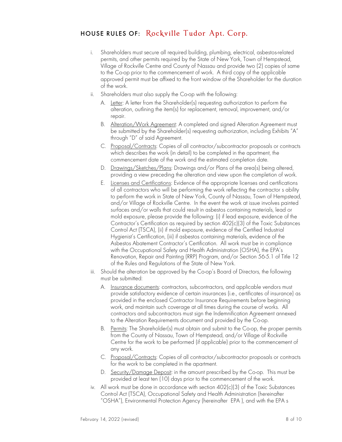- i. Shareholders must secure all required building, plumbing, electrical, asbestos-related permits, and other permits required by the State of New York, Town of Hempstead, Village of Rockville Centre and County of Nassau and provide two (2) copies of same to the Co-op prior to the commencement of work. A third copy of the applicable approved permit must be affixed to the front window of the Shareholder for the duration of the work.
- Shareholders must also supply the Co-op with the following:
	- A. Letter: A letter from the Shareholder(s) requesting authorization to perform the alteration, outlining the item(s) for replacement, removal, improvement, and/or repair.
	- B. Alteration/Work Agreement: A completed and signed Alteration Agreement must be submitted by the Shareholder(s) requesting authorization, including Exhibits "A" through "D" of said Agreement.
	- C. Proposal/Contracts: Copies of all contractor/subcontractor proposals or contracts which describes the work (in detail) to be completed in the apartment, the commencement date of the work and the estimated completion date.
	- D. Drawings/Sketches/Plans: Drawings and/or Plans of the area(s) being altered, providing a view preceding the alteration and view upon the completion of work.
	- E. Licenses and Certifications: Evidence of the appropriate licenses and certifications of all contractors who will be performing the work reflecting the contractor s ability to perform the work in State of New York, County of Nassau, Town of Hempstead, and/or Village of Rockville Centre. In the event the work at issue involves painted surfaces and/or walls that could result in asbestos containing materials, lead or mold exposure, please provide the following: (i) if lead exposure, evidence of the Contractor's Certification as required by section 402(c)(3) of the Toxic Substances Control Act (TSCA), (ii) if mold exposure, evidence of the Certified Industrial Hygienist's Certification, (iii) if asbestos containing materials, evidence of the Asbestos Abatement Contractor's Certification. All work must be in compliance with the Occupational Safety and Health Administration (OSHA), the EPA's Renovation, Repair and Painting (RRP) Program, and/or Section 56-5.1 of Title 12 of the Rules and Regulations of the State of New York.
- iii. Should the alteration be approved by the Co-op's Board of Directors, the following must be submitted:
	- A. Insurance documents: contractors, subcontractors, and applicable vendors must provide satisfactory evidence of certain insurances (i.e., certificates of insurance) as provided in the enclosed Contractor Insurance Requirements before beginning work, and maintain such coverage at all times during the course of works. All contractors and subcontractors must sign the Indemnification Agreement annexed to the Alteration Requirements document and provided by the Co-op.
	- B. Permits: The Shareholder(s) must obtain and submit to the Co-op, the proper permits from the County of Nassau, Town of Hempstead, and/or Village of Rockville Centre for the work to be performed (if applicable) prior to the commencement of any work.
	- C. Proposal/Contracts: Copies of all contractor/subcontractor proposals or contracts for the work to be completed in the apartment.
	- D. Security/Damage Deposit: in the amount prescribed by the Co-op. This must be provided at least ten (10) days prior to the commencement of the work.
- iv. All work must be done in accordance with section 402(c)(3) of the Toxic Substances Control Act (TSCA), Occupational Safety and Health Administration (hereinafter "OSHA"), Environmental Protection Agency (hereinafter EPA ), and with the EPA s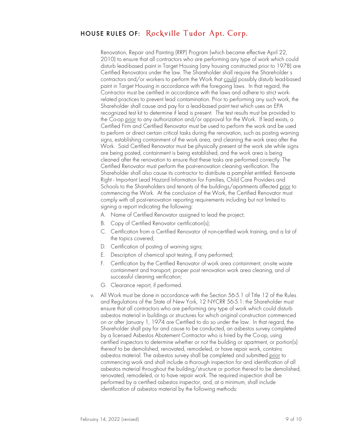Renovation, Repair and Painting (RRP) Program (which became effective April 22, 2010) to ensure that all contractors who are performing any type of work which could disturb lead-based paint in Target Housing (any housing constructed prior to 1978) are Certified Renovators under the law. The Shareholder shall require the Shareholder s contractors and/or workers to perform the Work that could possibly disturb lead-based paint in Target Housing in accordance with the foregoing laws. In that regard, the Contractor must be certified in accordance with the laws and adhere to strict workrelated practices to prevent lead contamination. Prior to performing any such work, the Shareholder shall cause and pay for a lead-based paint test which uses an EPA recognized test kit to determine if lead is present. The test results must be provided to the Co-op prior to any authorization and/or approval for the Work. If lead exists, a Certified Firm and Certified Renovator must be used to perform the work and be used to perform or direct certain critical tasks during the renovation, such as posting warning signs, establishing containment of the work area, and cleaning the work area after the Work. Said Certified Renovator must be physically present at the work site while signs are being posted, containment is being established, and the work area is being cleaned after the renovation to ensure that these tasks are performed correctly. The Certified Renovator must perform the post-renovation cleaning verification. The Shareholder shall also cause its contractor to distribute a pamphlet entitled: Renovate Right - Important Lead Hazard Information for Families, Child Care Providers and Schools to the Shareholders and tenants of the buildings/apartments affected <u>prior</u> to commencing the Work. At the conclusion of the Work, the Certified Renovator must comply with all post-renovation reporting requirements including but not limited to signing a report indicating the following:

- A. Name of Certified Renovator assigned to lead the project;
- B. Copy of Certified Renovator certification(s);
- C. Certification from a Certified Renovator of non-certified work training, and a list of the topics covered;
- D. Certification of posting of warning signs;
- E. Description of chemical spot testing, if any performed;
- F. Certification by the Certified Renovator of work area containment, on-site waste containment and transport, proper post renovation work area cleaning, and of successful cleaning verification;
- G. Clearance report, if performed.
- v. All Work must be done in accordance with the Section 56-5.1 of Title 12 of the Rules and Regulations of the State of New York, 12 NYCRR 56-5.1: the Shareholder must ensure that all contractors who are performing any type of work which could disturb asbestos material in buildings or structures for which original construction commenced on or after January 1, 1974 are Certified to do so under the law. In that regard, the Shareholder shall pay for and cause to be conducted, an asbestos survey completed by a licensed Asbestos Abatement Contractor who is hired by the Co-op, using certified inspectors to determine whether or not the building or apartment, or portion(s) thereof to be demolished, renovated, remodeled, or have repair work, contains asbestos material. The asbestos survey shall be completed and submitted prior to commencing work and shall include a thorough inspection for and identification of all asbestos material throughout the building/structure or portion thereof to be demolished, renovated, remodeled, or to have repair work. The required inspection shall be performed by a certified asbestos inspector, and, at a minimum, shall include identification of asbestos material by the following methods: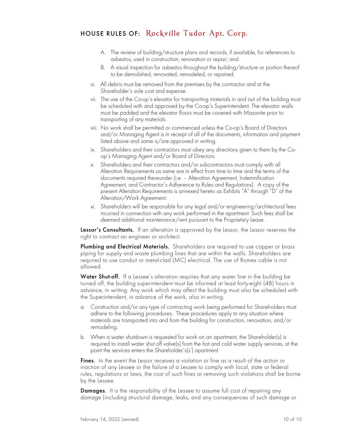- A. The review of building/structure plans and records, if available, for references to asbestos, used in construction, renovation or repair; and
- B. A visual inspection for asbestos throughout the building/structure or portion thereof to be demolished, renovated, remodeled, or repaired.
- vi. All debris must be removed from the premises by the contractor and at the Shareholder's sole cost and expense.
- vii. The use of the Co-op's elevator for transporting materials in and out of the building must be scheduled with and approved by the Co-op's Superintendent. The elevator walls must be padded and the elevator floors must be covered with Masonite prior to transporting of any materials.
- viii. No work shall be permitted or commenced unless the Co-op's Board of Directors and/or Managing Agent is in receipt of all of the documents, information and payment listed above and same is/are approved in writing.
- ix. Shareholders and their contractors must obey any directions given to them by the Coop's Managing Agent and/or Board of Directors.
- x. Shareholders and their contractors and/or subcontractors must comply with all Alteration Requirements as same are in effect from time to time and the terms of the documents required thereunder (i.e. — Alteration Agreement, Indemnification Agreement, and Contractor's Adherence to Rules and Regulations). A copy of the present Alteration Requirements is annexed hereto as Exhibits "A" through "D" of the Alteration/Work Agreement.
- xi. Shareholders will be responsible for any legal and/or engineering/architectural fees incurred in connection with any work performed in the apartment. Such fees shall be deemed additional maintenance/rent pursuant to the Proprietary Lease.

Lessor's Consultants. If an alteration is approved by the Lessor, the Lessor reserves the right to contract an engineer or architect.

Plumbing and Electrical Materials. Shareholders are required to use copper or brass piping for supply and waste plumbing lines that are within the walls. Shareholders are required to use conduit or metal-clad (MC) electrical. The use of Romex cable is not allowed.

Water Shut-off. If a Lessee's alteration requires that any water line in the building be turned off, the building superintendent must be informed at least forty-eight (48) hours in advance, in writing. Any work which may affect the building must also be scheduled with the Superintendent, in advance of the work, also in writing.

- a. Construction and/or any type of contracting work being performed for Shareholders must adhere to the following procedures. These procedures apply to any situation where materials are transported into and from the building for construction, renovation, and/or remodeling.
- b. When a water shutdown is requested for work on an apartment, the Shareholder(s) is required to install water shut off valve(s) from the hot and cold water supply services, at the point the services enters the Shareholder's(s') apartment.

**Fines.** In the event the Lessor receives a violation or fine as a result of the action or inaction of any Lessee or the failure of a Lessee to comply with local, state or federal rules, regulations or laws, the cost of such fines or removing such violations shall be borne by the Lessee.

Damages. It is the responsibility of the Lessee to assume full cost of repairing any damage (including structural damage, leaks, and any consequences of such damage or